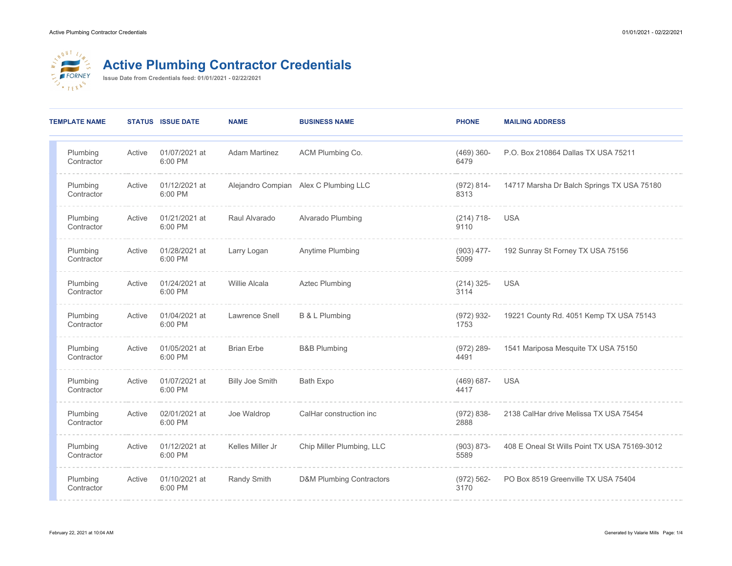

## **Active Plumbing Contractor Credentials**

**Issue Date from Credentials feed: 01/01/2021 - 02/22/2021**

| <b>TEMPLATE NAME</b>   |        | <b>STATUS ISSUE DATE</b> | <b>NAME</b>            | <b>BUSINESS NAME</b>                  | <b>PHONE</b>          | <b>MAILING ADDRESS</b>                       |
|------------------------|--------|--------------------------|------------------------|---------------------------------------|-----------------------|----------------------------------------------|
| Plumbing<br>Contractor | Active | 01/07/2021 at<br>6:00 PM | <b>Adam Martinez</b>   | ACM Plumbing Co.                      | $(469)$ 360-<br>6479  | P.O. Box 210864 Dallas TX USA 75211          |
| Plumbing<br>Contractor | Active | 01/12/2021 at<br>6:00 PM |                        | Alejandro Compian Alex C Plumbing LLC | $(972) 814 -$<br>8313 | 14717 Marsha Dr Balch Springs TX USA 75180   |
| Plumbing<br>Contractor | Active | 01/21/2021 at<br>6:00 PM | Raul Alvarado          | Alvarado Plumbing                     | $(214) 718-$<br>9110  | <b>USA</b>                                   |
| Plumbing<br>Contractor | Active | 01/28/2021 at<br>6:00 PM | Larry Logan            | Anytime Plumbing                      | $(903)$ 477-<br>5099  | 192 Sunray St Forney TX USA 75156            |
| Plumbing<br>Contractor | Active | 01/24/2021 at<br>6:00 PM | <b>Willie Alcala</b>   | <b>Aztec Plumbing</b>                 | $(214)$ 325-<br>3114  | <b>USA</b>                                   |
| Plumbing<br>Contractor | Active | 01/04/2021 at<br>6:00 PM | Lawrence Snell         | B & L Plumbing                        | $(972) 932 -$<br>1753 | 19221 County Rd. 4051 Kemp TX USA 75143      |
| Plumbing<br>Contractor | Active | 01/05/2021 at<br>6:00 PM | <b>Brian Erbe</b>      | <b>B&amp;B Plumbing</b>               | $(972)$ 289-<br>4491  | 1541 Mariposa Mesquite TX USA 75150          |
| Plumbing<br>Contractor | Active | 01/07/2021 at<br>6:00 PM | <b>Billy Joe Smith</b> | Bath Expo                             | $(469) 687 -$<br>4417 | <b>USA</b>                                   |
| Plumbing<br>Contractor | Active | 02/01/2021 at<br>6:00 PM | Joe Waldrop            | CalHar construction inc               | $(972) 838 -$<br>2888 | 2138 CalHar drive Melissa TX USA 75454       |
| Plumbing<br>Contractor | Active | 01/12/2021 at<br>6:00 PM | Kelles Miller Jr       | Chip Miller Plumbing, LLC             | $(903) 873 -$<br>5589 | 408 E Oneal St Wills Point TX USA 75169-3012 |
| Plumbing<br>Contractor | Active | 01/10/2021 at<br>6:00 PM | Randy Smith            | <b>D&amp;M Plumbing Contractors</b>   | $(972) 562 -$<br>3170 | PO Box 8519 Greenville TX USA 75404          |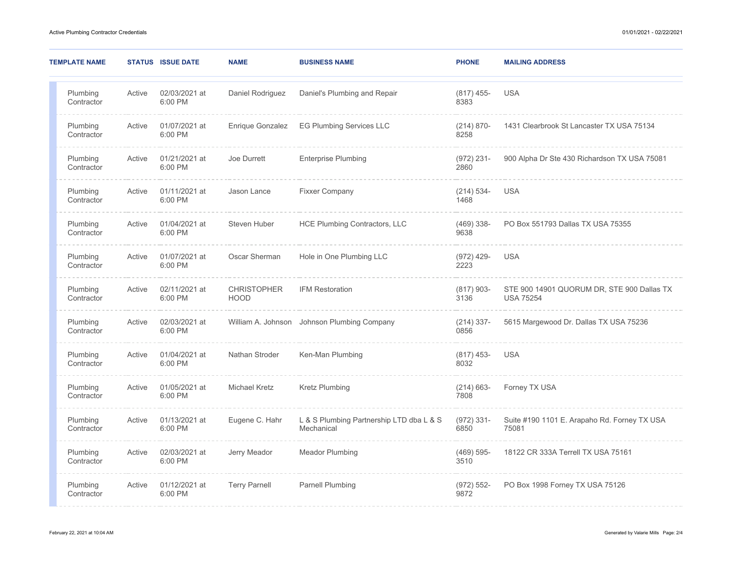| <b>TEMPLATE NAME</b>   |        | <b>STATUS ISSUE DATE</b> | <b>NAME</b>                       | <b>BUSINESS NAME</b>                                   | <b>PHONE</b>          | <b>MAILING ADDRESS</b>                                         |
|------------------------|--------|--------------------------|-----------------------------------|--------------------------------------------------------|-----------------------|----------------------------------------------------------------|
| Plumbing<br>Contractor | Active | 02/03/2021 at<br>6:00 PM | Daniel Rodriguez                  | Daniel's Plumbing and Repair                           | $(817)$ 455-<br>8383  | <b>USA</b>                                                     |
| Plumbing<br>Contractor | Active | 01/07/2021 at<br>6:00 PM | Enrique Gonzalez                  | <b>EG Plumbing Services LLC</b>                        | $(214) 870-$<br>8258  | 1431 Clearbrook St Lancaster TX USA 75134                      |
| Plumbing<br>Contractor | Active | 01/21/2021 at<br>6:00 PM | Joe Durrett                       | <b>Enterprise Plumbing</b>                             | $(972)$ 231-<br>2860  | 900 Alpha Dr Ste 430 Richardson TX USA 75081                   |
| Plumbing<br>Contractor | Active | 01/11/2021 at<br>6:00 PM | Jason Lance                       | <b>Fixxer Company</b>                                  | $(214) 534-$<br>1468  | <b>USA</b>                                                     |
| Plumbing<br>Contractor | Active | 01/04/2021 at<br>6:00 PM | Steven Huber                      | <b>HCE Plumbing Contractors, LLC</b>                   | $(469)$ 338-<br>9638  | PO Box 551793 Dallas TX USA 75355                              |
| Plumbing<br>Contractor | Active | 01/07/2021 at<br>6:00 PM | Oscar Sherman                     | Hole in One Plumbing LLC                               | $(972)$ 429-<br>2223  | <b>USA</b>                                                     |
| Plumbing<br>Contractor | Active | 02/11/2021 at<br>6:00 PM | <b>CHRISTOPHER</b><br><b>HOOD</b> | <b>IFM Restoration</b>                                 | $(817)$ 903-<br>3136  | STE 900 14901 QUORUM DR, STE 900 Dallas TX<br><b>USA 75254</b> |
| Plumbing<br>Contractor | Active | 02/03/2021 at<br>6:00 PM |                                   | William A. Johnson Johnson Plumbing Company            | $(214)$ 337-<br>0856  | 5615 Margewood Dr. Dallas TX USA 75236                         |
| Plumbing<br>Contractor | Active | 01/04/2021 at<br>6:00 PM | Nathan Stroder                    | Ken-Man Plumbing                                       | $(817)$ 453-<br>8032  | <b>USA</b>                                                     |
| Plumbing<br>Contractor | Active | 01/05/2021 at<br>6:00 PM | <b>Michael Kretz</b>              | Kretz Plumbing                                         | $(214) 663 -$<br>7808 | Forney TX USA                                                  |
| Plumbing<br>Contractor | Active | 01/13/2021 at<br>6:00 PM | Eugene C. Hahr                    | L & S Plumbing Partnership LTD dba L & S<br>Mechanical | $(972) 331 -$<br>6850 | Suite #190 1101 E. Arapaho Rd. Forney TX USA<br>75081          |
| Plumbing<br>Contractor | Active | 02/03/2021 at<br>6:00 PM | Jerry Meador                      | <b>Meador Plumbing</b>                                 | $(469) 595 -$<br>3510 | 18122 CR 333A Terrell TX USA 75161                             |
| Plumbing<br>Contractor | Active | 01/12/2021 at<br>6:00 PM | <b>Terry Parnell</b>              | <b>Parnell Plumbing</b>                                | $(972) 552 -$<br>9872 | PO Box 1998 Forney TX USA 75126                                |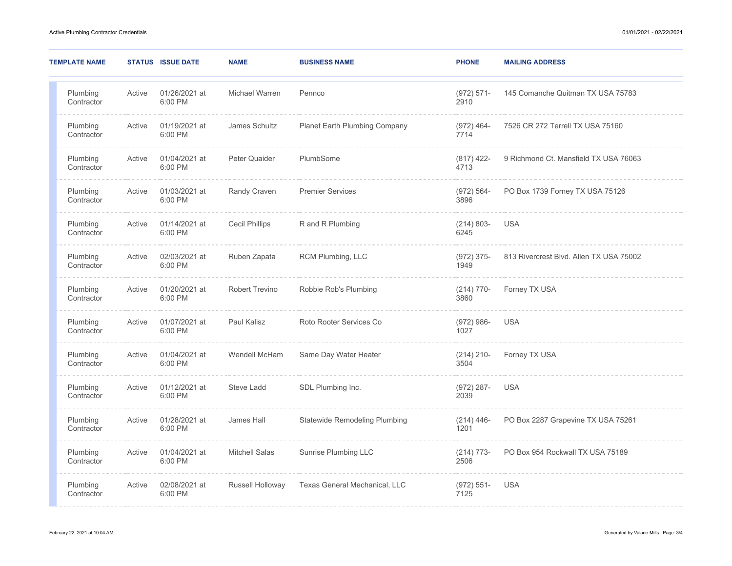| <b>TEMPLATE NAME</b>   |        | <b>STATUS ISSUE DATE</b> | <b>NAME</b>           | <b>BUSINESS NAME</b>                 | <b>PHONE</b>          | <b>MAILING ADDRESS</b>                  |
|------------------------|--------|--------------------------|-----------------------|--------------------------------------|-----------------------|-----------------------------------------|
| Plumbing<br>Contractor | Active | 01/26/2021 at<br>6:00 PM | Michael Warren        | Pennco                               | $(972) 571 -$<br>2910 | 145 Comanche Quitman TX USA 75783       |
| Plumbing<br>Contractor | Active | 01/19/2021 at<br>6:00 PM | James Schultz         | <b>Planet Earth Plumbing Company</b> | $(972)$ 464-<br>7714  | 7526 CR 272 Terrell TX USA 75160        |
| Plumbing<br>Contractor | Active | 01/04/2021 at<br>6:00 PM | Peter Quaider         | PlumbSome                            | $(817)$ 422-<br>4713  | 9 Richmond Ct. Mansfield TX USA 76063   |
| Plumbing<br>Contractor | Active | 01/03/2021 at<br>6:00 PM | <b>Randy Craven</b>   | <b>Premier Services</b>              | $(972) 564 -$<br>3896 | PO Box 1739 Forney TX USA 75126         |
| Plumbing<br>Contractor | Active | 01/14/2021 at<br>6:00 PM | <b>Cecil Phillips</b> | R and R Plumbing                     | $(214) 803 -$<br>6245 | <b>USA</b>                              |
| Plumbing<br>Contractor | Active | 02/03/2021 at<br>6:00 PM | Ruben Zapata          | RCM Plumbing, LLC                    | $(972) 375 -$<br>1949 | 813 Rivercrest Blvd. Allen TX USA 75002 |
| Plumbing<br>Contractor | Active | 01/20/2021 at<br>6:00 PM | <b>Robert Trevino</b> | Robbie Rob's Plumbing                | $(214)$ 770-<br>3860  | Forney TX USA                           |
| Plumbing<br>Contractor | Active | 01/07/2021 at<br>6:00 PM | Paul Kalisz           | Roto Rooter Services Co              | $(972) 986 -$<br>1027 | <b>USA</b>                              |
| Plumbing<br>Contractor | Active | 01/04/2021 at<br>6:00 PM | Wendell McHam         | Same Day Water Heater                | $(214)$ 210-<br>3504  | Forney TX USA                           |
| Plumbing<br>Contractor | Active | 01/12/2021 at<br>6:00 PM | Steve Ladd            | SDL Plumbing Inc.                    | $(972)$ 287-<br>2039  | <b>USA</b>                              |
| Plumbing<br>Contractor | Active | 01/28/2021 at<br>6:00 PM | James Hall            | <b>Statewide Remodeling Plumbing</b> | $(214)$ 446-<br>1201  | PO Box 2287 Grapevine TX USA 75261      |
| Plumbing<br>Contractor | Active | 01/04/2021 at<br>6:00 PM | <b>Mitchell Salas</b> | Sunrise Plumbing LLC                 | $(214) 773-$<br>2506  | PO Box 954 Rockwall TX USA 75189        |
| Plumbing<br>Contractor | Active | 02/08/2021 at<br>6:00 PM | Russell Holloway      | Texas General Mechanical, LLC        | $(972) 551 -$<br>7125 | <b>USA</b>                              |